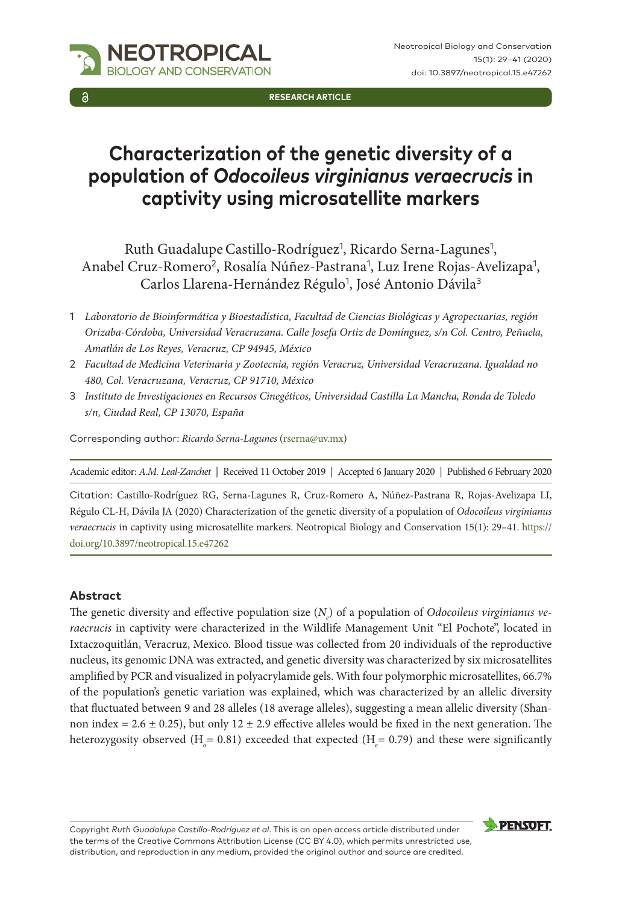

**RESEARCH ARTICLE**

# **Characterization of the genetic diversity of a population of** *Odocoileus virginianus veraecrucis* **in captivity using microsatellite markers**

Ruth Guadalupe Castillo-Rodríguez<sup>1</sup>, Ricardo Serna-Lagunes<sup>1</sup>, Anabel Cruz-Romero<sup>2</sup>, Rosalía Núñez-Pastrana<sup>1</sup>, Luz Irene Rojas-Avelizapa<sup>1</sup>, Carlos Llarena-Hernández Régulo<sup>1</sup>, José Antonio Dávila<sup>3</sup>

- 2 *Facultad de Medicina Veterinaria y Zootecnia, región Veracruz, Universidad Veracruzana. Igualdad no 480, Col. Veracruzana, Veracruz, CP 91710, México*
- 3 *Instituto de Investigaciones en Recursos Cinegéticos, Universidad Castilla La Mancha, Ronda de Toledo s/n, Ciudad Real, CP 13070, España*

Corresponding author: *Ricardo Serna-Lagunes* [\(rserna@uv.mx](mailto:rserna@uv.mx))

Academic editor: *A.M. Leal-Zanchet* | Received 11 October 2019 | Accepted 6 January 2020 | Published 6 February 2020

Citation: Castillo-Rodríguez RG, Serna-Lagunes R, Cruz-Romero A, Núñez-Pastrana R, Rojas-Avelizapa LI, Régulo CL-H, Dávila JA (2020) Characterization of the genetic diversity of a population of *Odocoileus virginianus veraecrucis* in captivity using microsatellite markers. Neotropical Biology and Conservation 15(1): 29–41. [https://](https://doi.org/%18) [doi.org/10.3897/neotropical.15.e47262](https://doi.org/%18)

#### **Abstract**

The genetic diversity and effective population size (*N<sub>e</sub>*) of a population of *Odocoileus virginianus veraecrucis* in captivity were characterized in the Wildlife Management Unit "El Pochote", located in Ixtaczoquitlán, Veracruz, Mexico. Blood tissue was collected from 20 individuals of the reproductive nucleus, its genomic DNA was extracted, and genetic diversity was characterized by six microsatellites amplified by PCR and visualized in polyacrylamide gels. With four polymorphic microsatellites, 66.7% of the population's genetic variation was explained, which was characterized by an allelic diversity that fluctuated between 9 and 28 alleles (18 average alleles), suggesting a mean allelic diversity (Shannon index =  $2.6 \pm 0.25$ ), but only  $12 \pm 2.9$  effective alleles would be fixed in the next generation. The heterozygosity observed (H<sub>0</sub> = 0.81) exceeded that expected (H<sub>e</sub> = 0.79) and these were significantly

Copyright *Ruth Guadalupe Castillo-Rodríguez et al*. This is an open access article distributed under the terms of the [Creative Commons Attribution License \(CC BY 4.0\),](http://creativecommons.org/licenses/by/4.0/) which permits unrestricted use, distribution, and reproduction in any medium, provided the original author and source are credited.



<sup>1</sup> *Laboratorio de Bioinformática y Bioestadística, Facultad de Ciencias Biológicas y Agropecuarias, región Orizaba-Córdoba, Universidad Veracruzana. Calle Josefa Ortiz de Domínguez, s/n Col. Centro, Peñuela, Amatlán de Los Reyes, Veracruz, CP 94945, México*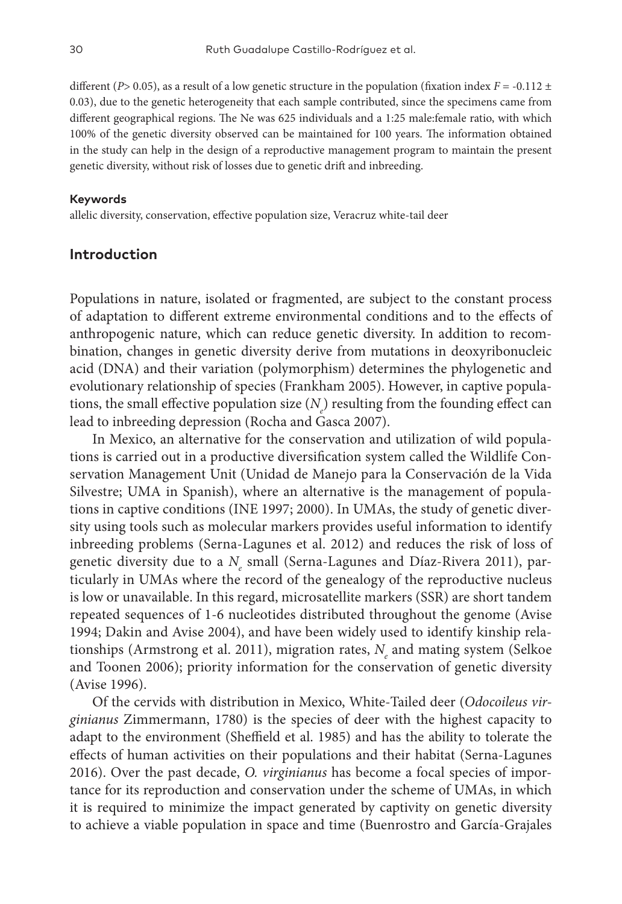different (*P*> 0.05), as a result of a low genetic structure in the population (fixation index  $F = -0.112 \pm 10^{-10}$ 0.03), due to the genetic heterogeneity that each sample contributed, since the specimens came from different geographical regions. The Ne was 625 individuals and a 1:25 male:female ratio, with which 100% of the genetic diversity observed can be maintained for 100 years. The information obtained in the study can help in the design of a reproductive management program to maintain the present genetic diversity, without risk of losses due to genetic drift and inbreeding.

#### **Keywords**

allelic diversity, conservation, effective population size, Veracruz white-tail deer

# **Introduction**

Populations in nature, isolated or fragmented, are subject to the constant process of adaptation to different extreme environmental conditions and to the effects of anthropogenic nature, which can reduce genetic diversity. In addition to recombination, changes in genetic diversity derive from mutations in deoxyribonucleic acid (DNA) and their variation (polymorphism) determines the phylogenetic and evolutionary relationship of species (Frankham 2005). However, in captive populations, the small effective population size  $(N_e)$  resulting from the founding effect can lead to inbreeding depression (Rocha and Gasca 2007).

In Mexico, an alternative for the conservation and utilization of wild populations is carried out in a productive diversification system called the Wildlife Conservation Management Unit (Unidad de Manejo para la Conservación de la Vida Silvestre; UMA in Spanish), where an alternative is the management of populations in captive conditions (INE 1997; 2000). In UMAs, the study of genetic diversity using tools such as molecular markers provides useful information to identify inbreeding problems (Serna-Lagunes et al. 2012) and reduces the risk of loss of genetic diversity due to a  $N_{_e}$  small (Serna-Lagunes and Díaz-Rivera 2011), particularly in UMAs where the record of the genealogy of the reproductive nucleus is low or unavailable. In this regard, microsatellite markers (SSR) are short tandem repeated sequences of 1-6 nucleotides distributed throughout the genome (Avise 1994; Dakin and Avise 2004), and have been widely used to identify kinship relationships (Armstrong et al. 2011), migration rates,  $N_{\scriptscriptstyle e}$  and mating system (Selkoe and Toonen 2006); priority information for the conservation of genetic diversity (Avise 1996).

Of the cervids with distribution in Mexico, White-Tailed deer (*Odocoileus virginianus* Zimmermann, 1780) is the species of deer with the highest capacity to adapt to the environment (Sheffield et al. 1985) and has the ability to tolerate the effects of human activities on their populations and their habitat (Serna-Lagunes 2016). Over the past decade, *O. virginianus* has become a focal species of importance for its reproduction and conservation under the scheme of UMAs, in which it is required to minimize the impact generated by captivity on genetic diversity to achieve a viable population in space and time (Buenrostro and García-Grajales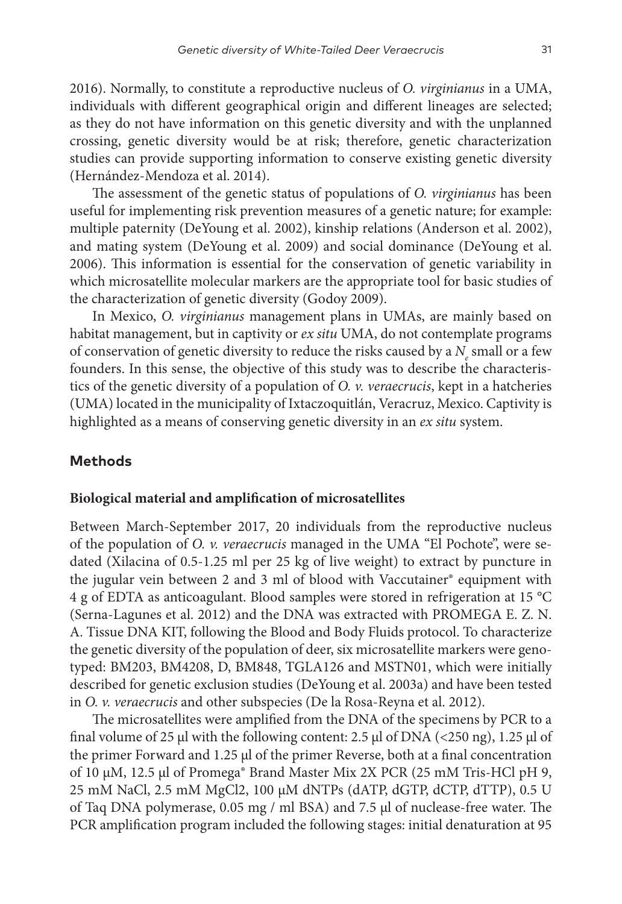2016). Normally, to constitute a reproductive nucleus of *O. virginianus* in a UMA, individuals with different geographical origin and different lineages are selected; as they do not have information on this genetic diversity and with the unplanned crossing, genetic diversity would be at risk; therefore, genetic characterization studies can provide supporting information to conserve existing genetic diversity (Hernández-Mendoza et al. 2014).

The assessment of the genetic status of populations of *O. virginianus* has been useful for implementing risk prevention measures of a genetic nature; for example: multiple paternity (DeYoung et al. 2002), kinship relations (Anderson et al. 2002), and mating system (DeYoung et al. 2009) and social dominance (DeYoung et al. 2006). This information is essential for the conservation of genetic variability in which microsatellite molecular markers are the appropriate tool for basic studies of the characterization of genetic diversity (Godoy 2009).

In Mexico, *O. virginianus* management plans in UMAs, are mainly based on habitat management, but in captivity or *ex situ* UMA, do not contemplate programs of conservation of genetic diversity to reduce the risks caused by a  $N_{e}$  small or a few founders. In this sense, the objective of this study was to describe the characteristics of the genetic diversity of a population of *O. v. veraecrucis*, kept in a hatcheries (UMA) located in the municipality of Ixtaczoquitlán, Veracruz, Mexico. Captivity is highlighted as a means of conserving genetic diversity in an *ex situ* system.

## **Methods**

#### **Biological material and amplification of microsatellites**

Between March-September 2017, 20 individuals from the reproductive nucleus of the population of *O. v. veraecrucis* managed in the UMA "El Pochote", were sedated (Xilacina of 0.5-1.25 ml per 25 kg of live weight) to extract by puncture in the jugular vein between 2 and 3 ml of blood with Vaccutainer® equipment with 4 g of EDTA as anticoagulant. Blood samples were stored in refrigeration at 15 °C (Serna-Lagunes et al. 2012) and the DNA was extracted with PROMEGA E. Z. N. A. Tissue DNA KIT, following the Blood and Body Fluids protocol. To characterize the genetic diversity of the population of deer, six microsatellite markers were genotyped: BM203, BM4208, D, BM848, TGLA126 and MSTN01, which were initially described for genetic exclusion studies (DeYoung et al. 2003a) and have been tested in *O. v. veraecrucis* and other subspecies (De la Rosa-Reyna et al. 2012).

The microsatellites were amplified from the DNA of the specimens by PCR to a final volume of 25  $\mu$ l with the following content: 2.5  $\mu$ l of DNA (<250 ng), 1.25  $\mu$ l of the primer Forward and 1.25 µl of the primer Reverse, both at a final concentration of 10 µM, 12.5 µl of Promega® Brand Master Mix 2X PCR (25 mM Tris-HCl pH 9, 25 mM NaCl, 2.5 mM MgCl2, 100 µM dNTPs (dATP, dGTP, dCTP, dTTP), 0.5 U of Taq DNA polymerase, 0.05 mg / ml BSA) and 7.5 µl of nuclease-free water. The PCR amplification program included the following stages: initial denaturation at 95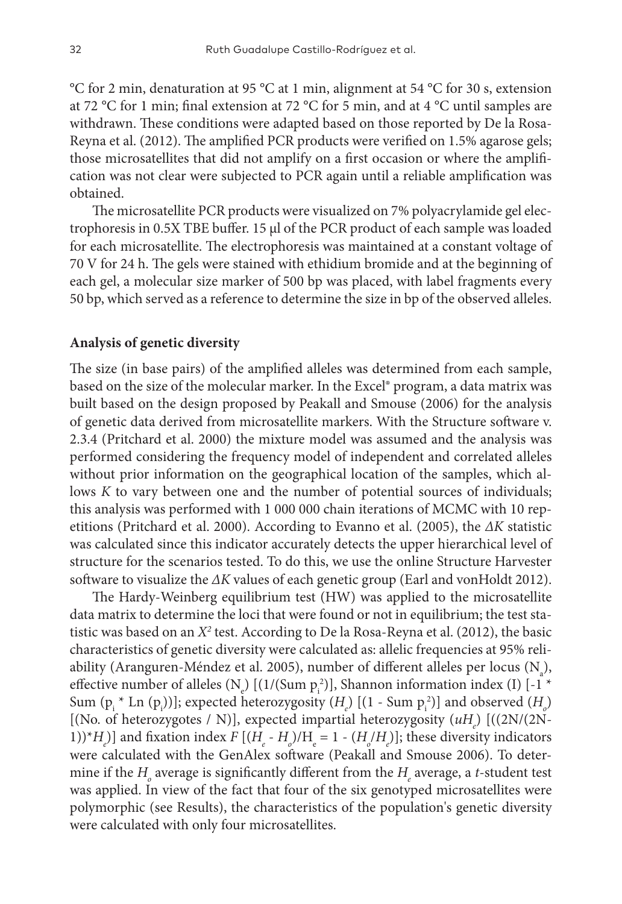°C for 2 min, denaturation at 95 °C at 1 min, alignment at 54 °C for 30 s, extension at 72 °C for 1 min; final extension at 72 °C for 5 min, and at 4 °C until samples are withdrawn. These conditions were adapted based on those reported by De la Rosa-Reyna et al. (2012). The amplified PCR products were verified on 1.5% agarose gels; those microsatellites that did not amplify on a first occasion or where the amplification was not clear were subjected to PCR again until a reliable amplification was obtained.

The microsatellite PCR products were visualized on 7% polyacrylamide gel electrophoresis in 0.5X TBE buffer. 15 µl of the PCR product of each sample was loaded for each microsatellite. The electrophoresis was maintained at a constant voltage of 70 V for 24 h. The gels were stained with ethidium bromide and at the beginning of each gel, a molecular size marker of 500 bp was placed, with label fragments every 50 bp, which served as a reference to determine the size in bp of the observed alleles.

#### **Analysis of genetic diversity**

The size (in base pairs) of the amplified alleles was determined from each sample, based on the size of the molecular marker. In the Excel® program, a data matrix was built based on the design proposed by Peakall and Smouse (2006) for the analysis of genetic data derived from microsatellite markers. With the Structure software v. 2.3.4 (Pritchard et al. 2000) the mixture model was assumed and the analysis was performed considering the frequency model of independent and correlated alleles without prior information on the geographical location of the samples, which allows *K* to vary between one and the number of potential sources of individuals; this analysis was performed with 1 000 000 chain iterations of MCMC with 10 repetitions (Pritchard et al. 2000). According to Evanno et al. (2005), the *ΔK* statistic was calculated since this indicator accurately detects the upper hierarchical level of structure for the scenarios tested. To do this, we use the online Structure Harvester software to visualize the *ΔK* values of each genetic group (Earl and vonHoldt 2012).

The Hardy-Weinberg equilibrium test (HW) was applied to the microsatellite data matrix to determine the loci that were found or not in equilibrium; the test statistic was based on an *X*<sup>2</sup> test. According to De la Rosa-Reyna et al. (2012), the basic characteristics of genetic diversity were calculated as: allelic frequencies at 95% reliability (Aranguren-Méndez et al. 2005), number of different alleles per locus ( $N_a$ ), effective number of alleles (N<sub>e</sub>) [(1/(Sum  $p_i^2$ )], Shannon information index (I) [-1 \* Sum  $(p_i * Ln (p_i))]$ ; expected heterozygosity  $(H_e)$   $[(1 - Sum p_i^2)]$  and observed  $(H_o)$ [(No. of heterozygotes / N)], expected impartial heterozygosity (uH<sub>e</sub>) [((2N/(2N-1))\* $H_e$ )] and fixation index  $F[(H_e - H_o)/H_e = 1 - (H_o/H_e)]$ ; these diversity indicators were calculated with the GenAlex software (Peakall and Smouse 2006). To determine if the  $H_{\!\scriptscriptstyle\beta}$  average is significantly different from the  $H_{\!\scriptscriptstyle\beta}$  average, a *t*-student test was applied. In view of the fact that four of the six genotyped microsatellites were polymorphic (see Results), the characteristics of the population's genetic diversity were calculated with only four microsatellites.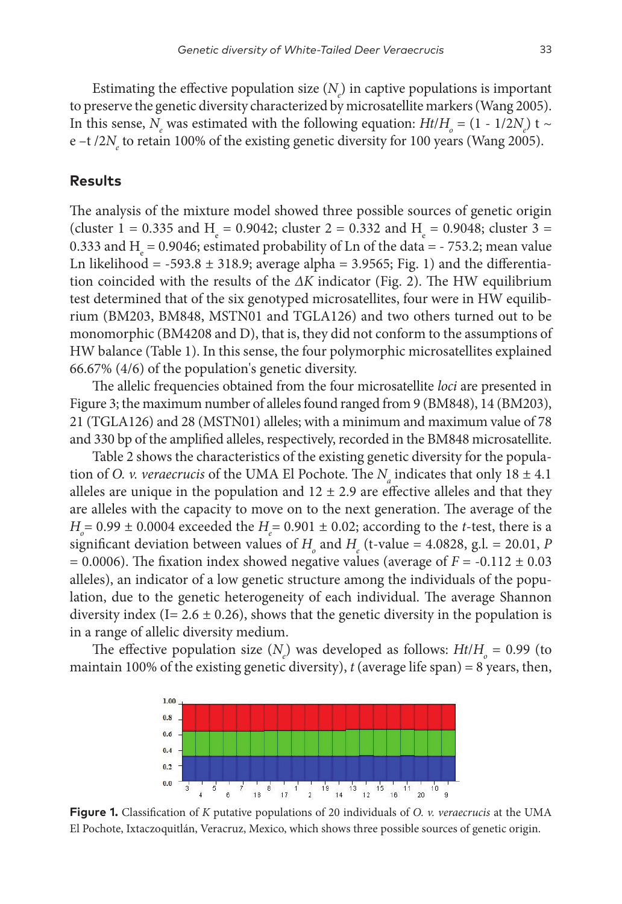Estimating the effective population size  $(N_e)$  in captive populations is important to preserve the genetic diversity characterized by microsatellite markers (Wang 2005). In this sense, *N<sub>e</sub>* was estimated with the following equation: *Ht*/*H<sub><sub>o</sub>*</sub> = (1 - 1/2*N<sub>e</sub>*) t ~ e –t /2 $N_e$  to retain 100% of the existing genetic diversity for 100 years (Wang 2005).

#### **Results**

The analysis of the mixture model showed three possible sources of genetic origin (cluster 1 = 0.335 and H<sub>e</sub> = 0.9042; cluster 2 = 0.332 and H<sub>e</sub> = 0.9048; cluster 3 = 0.333 and  $H_e$  = 0.9046; estimated probability of Ln of the data = - 753.2; mean value Ln likelihood =  $-593.8 \pm 318.9$ ; average alpha = 3.9565; Fig. 1) and the differentiation coincided with the results of the *ΔK* indicator (Fig. 2). The HW equilibrium test determined that of the six genotyped microsatellites, four were in HW equilibrium (BM203, BM848, MSTN01 and TGLA126) and two others turned out to be monomorphic (BM4208 and D), that is, they did not conform to the assumptions of HW balance (Table 1). In this sense, the four polymorphic microsatellites explained 66.67% (4/6) of the population's genetic diversity.

The allelic frequencies obtained from the four microsatellite *loci* are presented in Figure 3; the maximum number of alleles found ranged from 9 (BM848), 14 (BM203), 21 (TGLA126) and 28 (MSTN01) alleles; with a minimum and maximum value of 78 and 330 bp of the amplified alleles, respectively, recorded in the BM848 microsatellite.

Table 2 shows the characteristics of the existing genetic diversity for the population of *O. v. veraecrucis* of the UMA El Pochote. The  $N_a$  indicates that only  $18 \pm 4.1$ alleles are unique in the population and  $12 \pm 2.9$  are effective alleles and that they are alleles with the capacity to move on to the next generation. The average of the  $H$ <sup> $_{o}$ </sup> = 0.99  $\pm$  0.0004 exceeded the  $H$ <sup> $_{e}$ </sup> = 0.901  $\pm$  0.02; according to the *t*-test, there is a significant deviation between values of  $H_{\scriptscriptstyle{\rho}}$  and  $H_{\scriptscriptstyle{\rho}}$  (t-value = 4.0828, g.l. = 20.01, *P*  $= 0.0006$ ). The fixation index showed negative values (average of  $F = -0.112 \pm 0.03$ alleles), an indicator of a low genetic structure among the individuals of the population, due to the genetic heterogeneity of each individual. The average Shannon diversity index (I=  $2.6 \pm 0.26$ ), shows that the genetic diversity in the population is in a range of allelic diversity medium.

The effective population size  $(N_e)$  was developed as follows:  $Ht/H_o = 0.99$  (to maintain 100% of the existing genetic diversity),  $t$  (average life span) = 8 years, then,



**Figure 1.** Classification of *K* putative populations of 20 individuals of *O. v. veraecrucis* at the UMA El Pochote, Ixtaczoquitlán, Veracruz, Mexico, which shows three possible sources of genetic origin.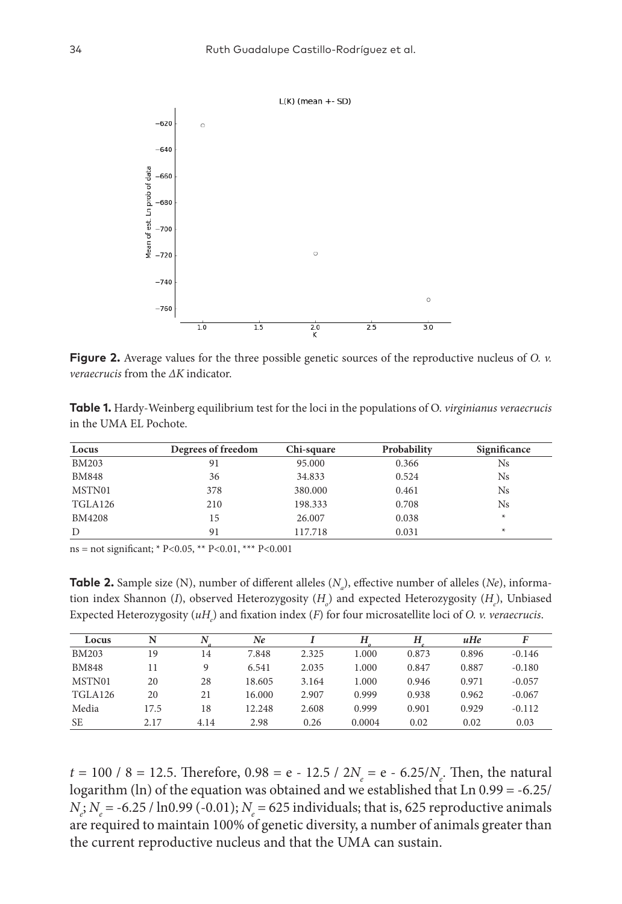

**Figure 2.** Average values for the three possible genetic sources of the reproductive nucleus of *O. v. veraecrucis* from the *ΔK* indicator.

**Table 1.** Hardy-Weinberg equilibrium test for the loci in the populations of O. *virginianus veraecrucis* in the UMA EL Pochote.

| Locus         | Degrees of freedom | Chi-square | Probability | Significance |
|---------------|--------------------|------------|-------------|--------------|
| <b>BM203</b>  | 91                 | 95,000     | 0.366       | Ns           |
| <b>BM848</b>  | 36                 | 34.833     | 0.524       | Ns           |
| MSTN01        | 378                | 380,000    | 0.461       | Ns           |
| TGLA126       | 210                | 198.333    | 0.708       | Ns           |
| <b>BM4208</b> | 15                 | 26,007     | 0.038       | $\ast$       |
| D             | 91                 | 117.718    | 0.031       | $\ast$       |

ns = not significant; \* P<0.05, \*\* P<0.01, \*\*\* P<0.001

**Table 2.** Sample size (N), number of different alleles (*N<sub>a</sub>*), effective number of alleles (*Ne*), information index Shannon (I), observed Heterozygosity (H<sub>0</sub>) and expected Heterozygosity (H<sub>e</sub>), Unbiased Expected Heterozygosity (uH<sub>e</sub>) and fixation index (*F*) for four microsatellite loci of *O. v. veraecrucis*.

| Locus          | N    | N    | Ne     |       | Н      | Н     | uHe   |          |
|----------------|------|------|--------|-------|--------|-------|-------|----------|
| <b>BM203</b>   | 19   | 14   | 7.848  | 2.325 | 1.000  | 0.873 | 0.896 | $-0.146$ |
| <b>BM848</b>   | 11   | 9    | 6.541  | 2.035 | 1.000  | 0.847 | 0.887 | $-0.180$ |
| MSTN01         | 20   | 28   | 18.605 | 3.164 | 1.000  | 0.946 | 0.971 | $-0.057$ |
| <b>TGLA126</b> | 20   | 21   | 16.000 | 2.907 | 0.999  | 0.938 | 0.962 | $-0.067$ |
| Media          | 17.5 | 18   | 12.248 | 2.608 | 0.999  | 0.901 | 0.929 | $-0.112$ |
| <b>SE</b>      | 2.17 | 4.14 | 2.98   | 0.26  | 0.0004 | 0.02  | 0.02  | 0.03     |

*t* = 100 / 8 = 12.5. Therefore,  $0.98 = e - 12.5 / 2N_e = e - 6.25/N_e$ . Then, the natural logarithm (ln) of the equation was obtained and we established that Ln 0.99 = -6.25/ *N<sub>e</sub>*; *N<sub>e</sub>* = -6.25 / ln0.99 (-0.01); *N<sub>e</sub>* = 625 individuals; that is, 625 reproductive animals are required to maintain 100% of genetic diversity, a number of animals greater than the current reproductive nucleus and that the UMA can sustain.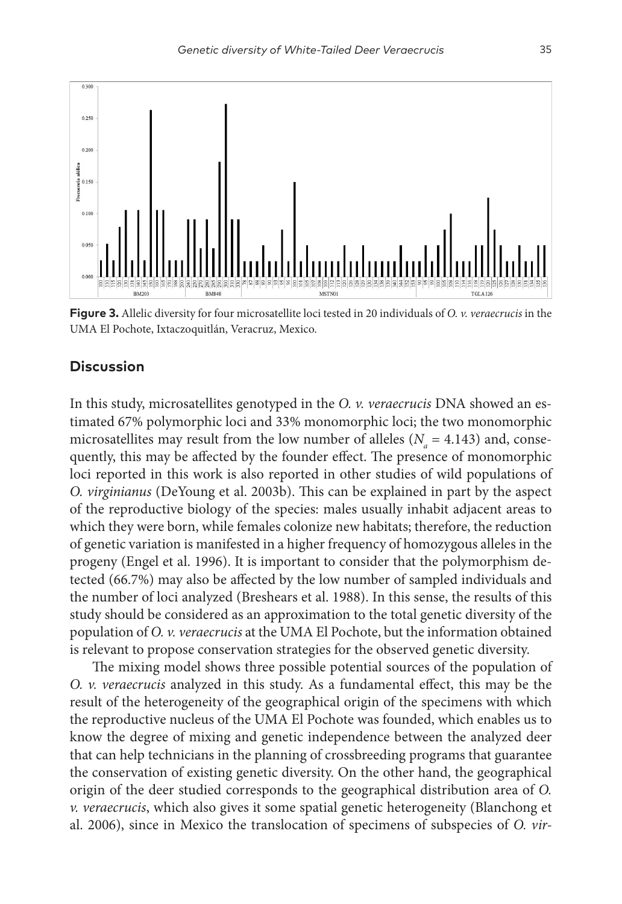

**Figure 3.** Allelic diversity for four microsatellite loci tested in 20 individuals of *O. v. veraecrucis* in the UMA El Pochote, Ixtaczoquitlán, Veracruz, Mexico.

## **Discussion**

In this study, microsatellites genotyped in the *O. v. veraecrucis* DNA showed an estimated 67% polymorphic loci and 33% monomorphic loci; the two monomorphic microsatellites may result from the low number of alleles ( $N_a = 4.143$ ) and, consequently, this may be affected by the founder effect. The presence of monomorphic loci reported in this work is also reported in other studies of wild populations of *O. virginianus* (DeYoung et al. 2003b). This can be explained in part by the aspect of the reproductive biology of the species: males usually inhabit adjacent areas to which they were born, while females colonize new habitats; therefore, the reduction of genetic variation is manifested in a higher frequency of homozygous alleles in the progeny (Engel et al. 1996). It is important to consider that the polymorphism detected (66.7%) may also be affected by the low number of sampled individuals and the number of loci analyzed (Breshears et al. 1988). In this sense, the results of this study should be considered as an approximation to the total genetic diversity of the population of *O. v. veraecrucis* at the UMA El Pochote, but the information obtained is relevant to propose conservation strategies for the observed genetic diversity.

The mixing model shows three possible potential sources of the population of *O. v. veraecrucis* analyzed in this study. As a fundamental effect, this may be the result of the heterogeneity of the geographical origin of the specimens with which the reproductive nucleus of the UMA El Pochote was founded, which enables us to know the degree of mixing and genetic independence between the analyzed deer that can help technicians in the planning of crossbreeding programs that guarantee the conservation of existing genetic diversity. On the other hand, the geographical origin of the deer studied corresponds to the geographical distribution area of *O. v. veraecrucis*, which also gives it some spatial genetic heterogeneity (Blanchong et al. 2006), since in Mexico the translocation of specimens of subspecies of *O. vir-*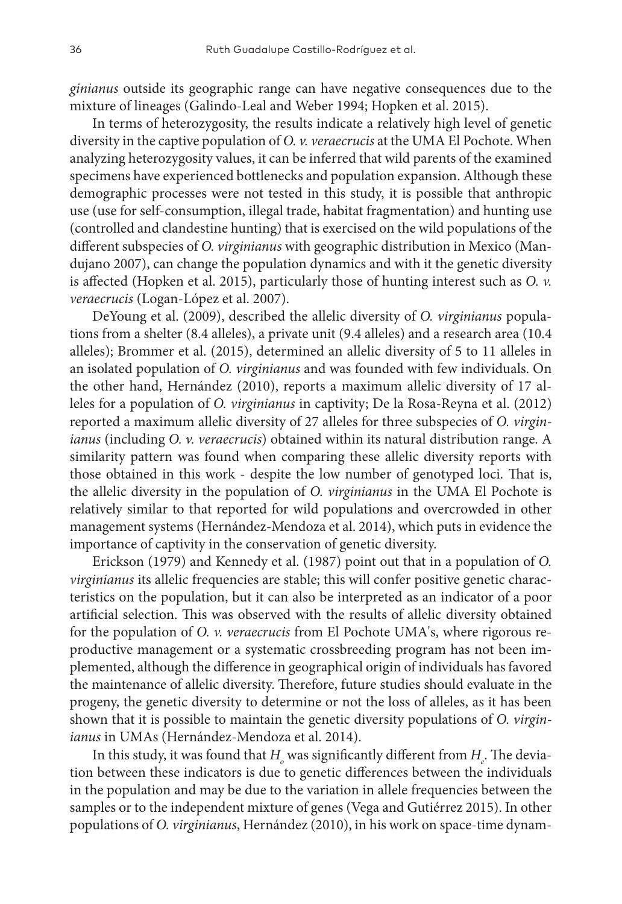*ginianus* outside its geographic range can have negative consequences due to the mixture of lineages (Galindo-Leal and Weber 1994; Hopken et al. 2015).

In terms of heterozygosity, the results indicate a relatively high level of genetic diversity in the captive population of *O. v. veraecrucis* at the UMA El Pochote. When analyzing heterozygosity values, it can be inferred that wild parents of the examined specimens have experienced bottlenecks and population expansion. Although these demographic processes were not tested in this study, it is possible that anthropic use (use for self-consumption, illegal trade, habitat fragmentation) and hunting use (controlled and clandestine hunting) that is exercised on the wild populations of the different subspecies of *O. virginianus* with geographic distribution in Mexico (Mandujano 2007), can change the population dynamics and with it the genetic diversity is affected (Hopken et al. 2015), particularly those of hunting interest such as *O. v. veraecrucis* (Logan-López et al. 2007).

DeYoung et al. (2009), described the allelic diversity of *O. virginianus* populations from a shelter (8.4 alleles), a private unit (9.4 alleles) and a research area (10.4 alleles); Brommer et al. (2015), determined an allelic diversity of 5 to 11 alleles in an isolated population of *O. virginianus* and was founded with few individuals. On the other hand, Hernández (2010), reports a maximum allelic diversity of 17 alleles for a population of *O. virginianus* in captivity; De la Rosa-Reyna et al. (2012) reported a maximum allelic diversity of 27 alleles for three subspecies of *O. virginianus* (including *O. v. veraecrucis*) obtained within its natural distribution range. A similarity pattern was found when comparing these allelic diversity reports with those obtained in this work - despite the low number of genotyped loci. That is, the allelic diversity in the population of *O. virginianus* in the UMA El Pochote is relatively similar to that reported for wild populations and overcrowded in other management systems (Hernández-Mendoza et al. 2014), which puts in evidence the importance of captivity in the conservation of genetic diversity.

Erickson (1979) and Kennedy et al. (1987) point out that in a population of *O. virginianus* its allelic frequencies are stable; this will confer positive genetic characteristics on the population, but it can also be interpreted as an indicator of a poor artificial selection. This was observed with the results of allelic diversity obtained for the population of *O. v. veraecrucis* from El Pochote UMA's, where rigorous reproductive management or a systematic crossbreeding program has not been implemented, although the difference in geographical origin of individuals has favored the maintenance of allelic diversity. Therefore, future studies should evaluate in the progeny, the genetic diversity to determine or not the loss of alleles, as it has been shown that it is possible to maintain the genetic diversity populations of *O. virginianus* in UMAs (Hernández-Mendoza et al. 2014).

In this study, it was found that  $H_{_o}$  was significantly different from  $H_{_e}$ . The deviation between these indicators is due to genetic differences between the individuals in the population and may be due to the variation in allele frequencies between the samples or to the independent mixture of genes (Vega and Gutiérrez 2015). In other populations of *O. virginianus*, Hernández (2010), in his work on space-time dynam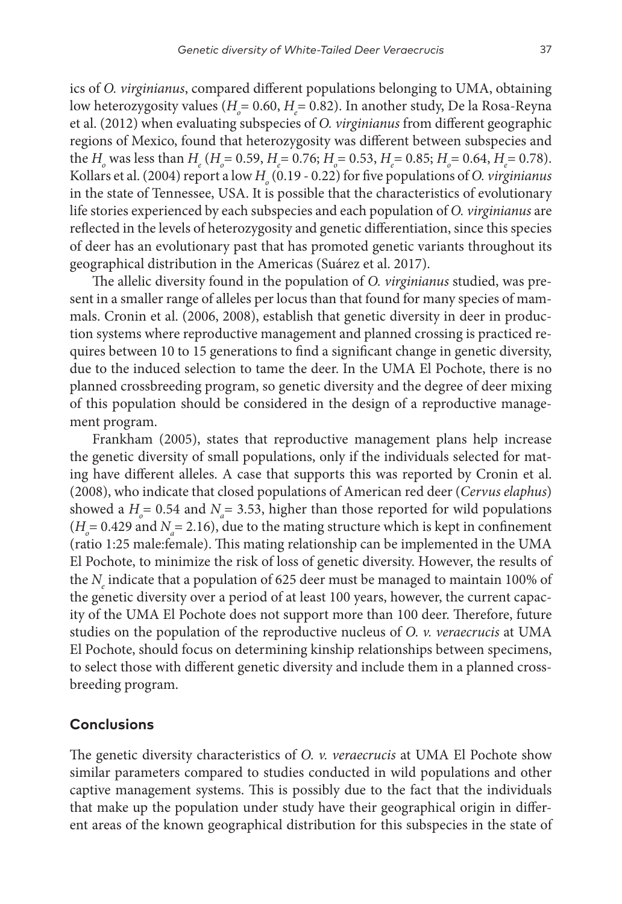ics of *O. virginianus*, compared different populations belonging to UMA, obtaining low heterozygosity values (*H*<sub>0</sub>= 0.60, *H*<sub>e</sub>= 0.82). In another study, De la Rosa-Reyna et al. (2012) when evaluating subspecies of *O. virginianus* from different geographic regions of Mexico, found that heterozygosity was different between subspecies and the  $H_o$  was less than  $H_e$  ( $H_o = 0.59$ ,  $H_e = 0.76$ ;  $H_o = 0.53$ ,  $H_e = 0.85$ ;  $H_o = 0.64$ ,  $H_e = 0.78$ ). Kollars et al. (2004) report a low  $H_{_o}$  (0.19 - 0.22) for five populations of *O. virginianus* in the state of Tennessee, USA. It is possible that the characteristics of evolutionary life stories experienced by each subspecies and each population of *O. virginianus* are reflected in the levels of heterozygosity and genetic differentiation, since this species of deer has an evolutionary past that has promoted genetic variants throughout its geographical distribution in the Americas (Suárez et al. 2017).

The allelic diversity found in the population of *O. virginianus* studied, was present in a smaller range of alleles per locus than that found for many species of mammals. Cronin et al. (2006, 2008), establish that genetic diversity in deer in production systems where reproductive management and planned crossing is practiced requires between 10 to 15 generations to find a significant change in genetic diversity, due to the induced selection to tame the deer. In the UMA El Pochote, there is no planned crossbreeding program, so genetic diversity and the degree of deer mixing of this population should be considered in the design of a reproductive management program.

Frankham (2005), states that reproductive management plans help increase the genetic diversity of small populations, only if the individuals selected for mating have different alleles. A case that supports this was reported by Cronin et al. (2008), who indicate that closed populations of American red deer (*Cervus elaphus*) showed a  $H$ <sup> $_{o}$ </sup> = 0.54 and  $N$ <sup> $_{a}$ </sup> = 3.53, higher than those reported for wild populations  $(H<sub>o</sub>=0.429$  and  $N<sub>a</sub>=2.16$ ), due to the mating structure which is kept in confinement (ratio 1:25 male:female). This mating relationship can be implemented in the UMA El Pochote, to minimize the risk of loss of genetic diversity. However, the results of the *N<sub>e</sub>* indicate that a population of 625 deer must be managed to maintain 100% of the genetic diversity over a period of at least 100 years, however, the current capacity of the UMA El Pochote does not support more than 100 deer. Therefore, future studies on the population of the reproductive nucleus of *O. v. veraecrucis* at UMA El Pochote, should focus on determining kinship relationships between specimens, to select those with different genetic diversity and include them in a planned crossbreeding program.

## **Conclusions**

The genetic diversity characteristics of *O. v. veraecrucis* at UMA El Pochote show similar parameters compared to studies conducted in wild populations and other captive management systems. This is possibly due to the fact that the individuals that make up the population under study have their geographical origin in different areas of the known geographical distribution for this subspecies in the state of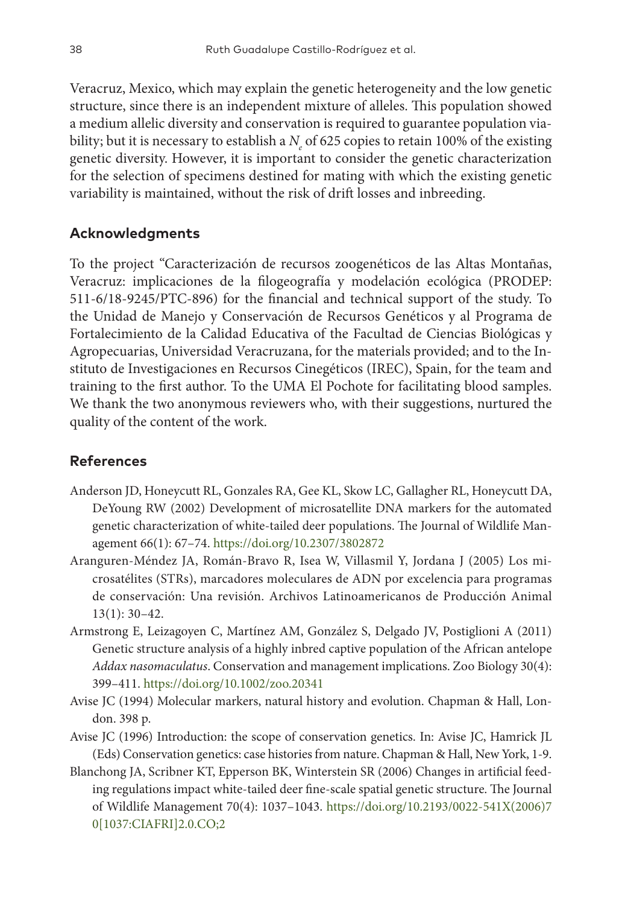Veracruz, Mexico, which may explain the genetic heterogeneity and the low genetic structure, since there is an independent mixture of alleles. This population showed a medium allelic diversity and conservation is required to guarantee population viability; but it is necessary to establish a  $N_{e}$  of 625 copies to retain 100% of the existing genetic diversity. However, it is important to consider the genetic characterization for the selection of specimens destined for mating with which the existing genetic variability is maintained, without the risk of drift losses and inbreeding.

# **Acknowledgments**

To the project "Caracterización de recursos zoogenéticos de las Altas Montañas, Veracruz: implicaciones de la filogeografía y modelación ecológica (PRODEP: 511-6/18-9245/PTC-896) for the financial and technical support of the study. To the Unidad de Manejo y Conservación de Recursos Genéticos y al Programa de Fortalecimiento de la Calidad Educativa of the Facultad de Ciencias Biológicas y Agropecuarias, Universidad Veracruzana, for the materials provided; and to the Instituto de Investigaciones en Recursos Cinegéticos (IREC), Spain, for the team and training to the first author. To the UMA El Pochote for facilitating blood samples. We thank the two anonymous reviewers who, with their suggestions, nurtured the quality of the content of the work.

# **References**

- Anderson JD, Honeycutt RL, Gonzales RA, Gee KL, Skow LC, Gallagher RL, Honeycutt DA, DeYoung RW (2002) Development of microsatellite DNA markers for the automated genetic characterization of white-tailed deer populations. The Journal of Wildlife Management 66(1): 67–74.<https://doi.org/10.2307/3802872>
- Aranguren-Méndez JA, Román-Bravo R, Isea W, Villasmil Y, Jordana J (2005) Los microsatélites (STRs), marcadores moleculares de ADN por excelencia para programas de conservación: Una revisión. Archivos Latinoamericanos de Producción Animal 13(1): 30–42.
- Armstrong E, Leizagoyen C, Martínez AM, González S, Delgado JV, Postiglioni A (2011) Genetic structure analysis of a highly inbred captive population of the African antelope *Addax nasomaculatus*. Conservation and management implications. Zoo Biology 30(4): 399–411. <https://doi.org/10.1002/zoo.20341>
- Avise JC (1994) Molecular markers, natural history and evolution. Chapman & Hall, London. 398 p.
- Avise JC (1996) Introduction: the scope of conservation genetics. In: Avise JC, Hamrick JL (Eds) Conservation genetics: case histories from nature. Chapman & Hall, New York, 1-9.
- Blanchong JA, Scribner KT, Epperson BK, Winterstein SR (2006) Changes in artificial feeding regulations impact white-tailed deer fine-scale spatial genetic structure. The Journal of Wildlife Management 70(4): 1037–1043. [https://doi.org/10.2193/0022-541X\(2006\)7](https://doi.org/10.2193/0022-541X(2006)70%5B1037:CIAFRI%5D2.0.CO;2) [0\[1037:CIAFRI\]2.0.CO;2](https://doi.org/10.2193/0022-541X(2006)70%5B1037:CIAFRI%5D2.0.CO;2)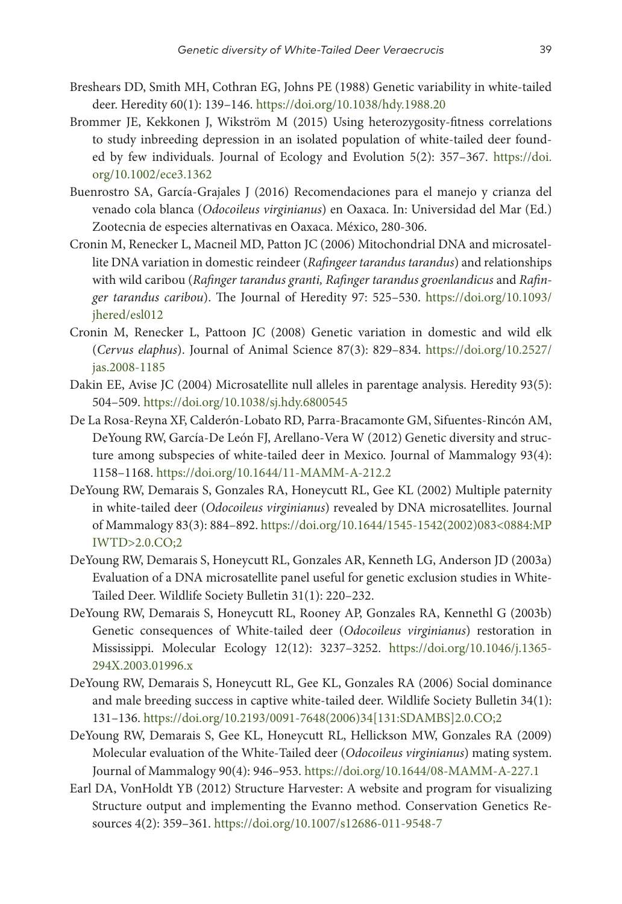- Breshears DD, Smith MH, Cothran EG, Johns PE (1988) Genetic variability in white-tailed deer. Heredity 60(1): 139–146. <https://doi.org/10.1038/hdy.1988.20>
- Brommer JE, Kekkonen J, Wikström M (2015) Using heterozygosity-fitness correlations to study inbreeding depression in an isolated population of white-tailed deer founded by few individuals. Journal of Ecology and Evolution 5(2): 357–367. [https://doi.](https://doi.org/10.1002/ece3.1362) [org/10.1002/ece3.1362](https://doi.org/10.1002/ece3.1362)
- Buenrostro SA, García-Grajales J (2016) Recomendaciones para el manejo y crianza del venado cola blanca (*Odocoileus virginianus*) en Oaxaca. In: Universidad del Mar (Ed.) Zootecnia de especies alternativas en Oaxaca. México, 280-306.
- Cronin M, Renecker L, Macneil MD, Patton JC (2006) Mitochondrial DNA and microsatellite DNA variation in domestic reindeer (*Rafingeer tarandus tarandus*) and relationships with wild caribou (*Rafinger tarandus granti, Rafinger tarandus groenlandicus* and *Rafinger tarandus caribou*). The Journal of Heredity 97: 525–530. [https://doi.org/10.1093/](https://doi.org/10.1093/jhered/esl012) ihered/esl012
- Cronin M, Renecker L, Pattoon JC (2008) Genetic variation in domestic and wild elk (*Cervus elaphus*). Journal of Animal Science 87(3): 829–834. [https://doi.org/10.2527/](https://doi.org/10.2527/jas.2008-1185) [jas.2008-1185](https://doi.org/10.2527/jas.2008-1185)
- Dakin EE, Avise JC (2004) Microsatellite null alleles in parentage analysis. Heredity 93(5): 504–509. <https://doi.org/10.1038/sj.hdy.6800545>
- De La Rosa-Reyna XF, Calderón-Lobato RD, Parra-Bracamonte GM, Sifuentes-Rincón AM, DeYoung RW, García-De León FJ, Arellano-Vera W (2012) Genetic diversity and structure among subspecies of white-tailed deer in Mexico. Journal of Mammalogy 93(4): 1158–1168. <https://doi.org/10.1644/11-MAMM-A-212.2>
- DeYoung RW, Demarais S, Gonzales RA, Honeycutt RL, Gee KL (2002) Multiple paternity in white-tailed deer (*Odocoileus virginianus*) revealed by DNA microsatellites. Journal of Mammalogy 83(3): 884–892. [https://doi.org/10.1644/1545-1542\(2002\)083<0884:MP](https://doi.org/10.1644/1545-1542(2002)083%3C0884:MPIWTD%3E2.0.CO;2) [IWTD>2.0.CO;2](https://doi.org/10.1644/1545-1542(2002)083%3C0884:MPIWTD%3E2.0.CO;2)
- DeYoung RW, Demarais S, Honeycutt RL, Gonzales AR, Kenneth LG, Anderson JD (2003a) Evaluation of a DNA microsatellite panel useful for genetic exclusion studies in White-Tailed Deer. Wildlife Society Bulletin 31(1): 220–232.
- DeYoung RW, Demarais S, Honeycutt RL, Rooney AP, Gonzales RA, Kennethl G (2003b) Genetic consequences of White-tailed deer (*Odocoileus virginianus*) restoration in Mississippi. Molecular Ecology 12(12): 3237–3252. [https://doi.org/10.1046/j.1365-](https://doi.org/10.1046/j.1365-294X.2003.01996.x) [294X.2003.01996.x](https://doi.org/10.1046/j.1365-294X.2003.01996.x)
- DeYoung RW, Demarais S, Honeycutt RL, Gee KL, Gonzales RA (2006) Social dominance and male breeding success in captive white-tailed deer. Wildlife Society Bulletin 34(1): 131–136. [https://doi.org/10.2193/0091-7648\(2006\)34\[131:SDAMBS\]2.0.CO;2](https://doi.org/10.2193/0091-7648(2006)34%5B131:SDAMBS%5D2.0.CO;2)
- DeYoung RW, Demarais S, Gee KL, Honeycutt RL, Hellickson MW, Gonzales RA (2009) Molecular evaluation of the White-Tailed deer (*Odocoileus virginianus*) mating system. Journal of Mammalogy 90(4): 946–953.<https://doi.org/10.1644/08-MAMM-A-227.1>
- Earl DA, VonHoldt YB (2012) Structure Harvester: A website and program for visualizing Structure output and implementing the Evanno method. Conservation Genetics Resources 4(2): 359–361.<https://doi.org/10.1007/s12686-011-9548-7>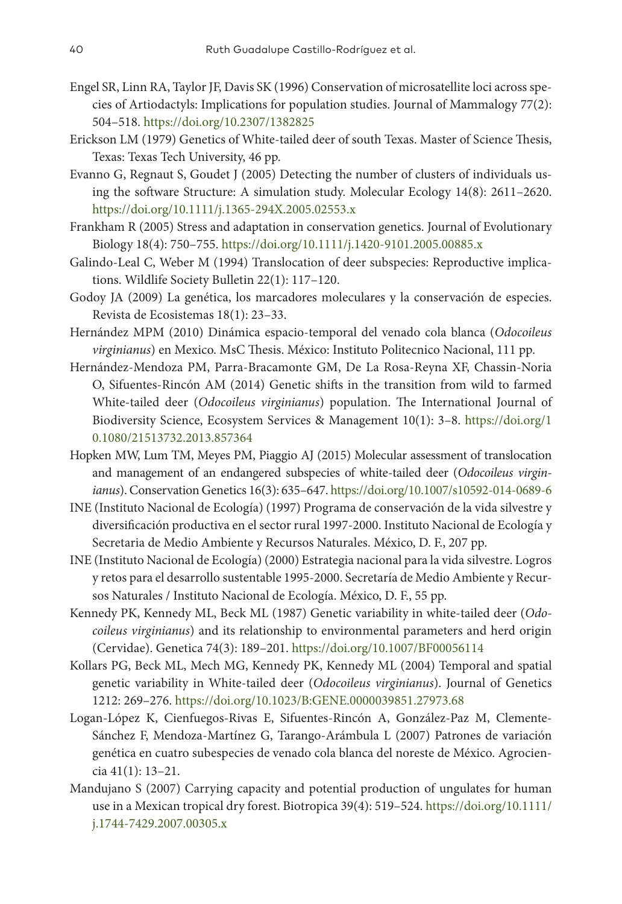- Engel SR, Linn RA, Taylor JF, Davis SK (1996) Conservation of microsatellite loci across species of Artiodactyls: Implications for population studies. Journal of Mammalogy 77(2): 504–518. <https://doi.org/10.2307/1382825>
- Erickson LM (1979) Genetics of White-tailed deer of south Texas. Master of Science Thesis, Texas: Texas Tech University, 46 pp.
- Evanno G, Regnaut S, Goudet J (2005) Detecting the number of clusters of individuals using the software Structure: A simulation study. Molecular Ecology 14(8): 2611–2620. <https://doi.org/10.1111/j.1365-294X.2005.02553.x>
- Frankham R (2005) Stress and adaptation in conservation genetics. Journal of Evolutionary Biology 18(4): 750–755. <https://doi.org/10.1111/j.1420-9101.2005.00885.x>
- Galindo-Leal C, Weber M (1994) Translocation of deer subspecies: Reproductive implications. Wildlife Society Bulletin 22(1): 117–120.
- Godoy JA (2009) La genética, los marcadores moleculares y la conservación de especies. Revista de Ecosistemas 18(1): 23–33.
- Hernández MPM (2010) Dinámica espacio-temporal del venado cola blanca (*Odocoileus virginianus*) en Mexico. MsC Thesis. México: Instituto Politecnico Nacional, 111 pp.
- Hernández-Mendoza PM, Parra-Bracamonte GM, De La Rosa-Reyna XF, Chassin-Noria O, Sifuentes-Rincón AM (2014) Genetic shifts in the transition from wild to farmed White-tailed deer (*Odocoileus virginianus*) population. The International Journal of Biodiversity Science, Ecosystem Services & Management 10(1): 3–8. [https://doi.org/1](https://doi.org/10.1080/21513732.2013.857364) [0.1080/21513732.2013.857364](https://doi.org/10.1080/21513732.2013.857364)
- Hopken MW, Lum TM, Meyes PM, Piaggio AJ (2015) Molecular assessment of translocation and management of an endangered subspecies of white-tailed deer (*Odocoileus virginianus*). Conservation Genetics 16(3): 635–647.<https://doi.org/10.1007/s10592-014-0689-6>
- INE (Instituto Nacional de Ecología) (1997) Programa de conservación de la vida silvestre y diversificación productiva en el sector rural 1997-2000. Instituto Nacional de Ecología y Secretaria de Medio Ambiente y Recursos Naturales. México, D. F., 207 pp.
- INE (Instituto Nacional de Ecología) (2000) Estrategia nacional para la vida silvestre. Logros y retos para el desarrollo sustentable 1995-2000. Secretaría de Medio Ambiente y Recursos Naturales / Instituto Nacional de Ecología. México, D. F., 55 pp.
- Kennedy PK, Kennedy ML, Beck ML (1987) Genetic variability in white-tailed deer (*Odocoileus virginianus*) and its relationship to environmental parameters and herd origin (Cervidae). Genetica 74(3): 189–201. <https://doi.org/10.1007/BF00056114>
- Kollars PG, Beck ML, Mech MG, Kennedy PK, Kennedy ML (2004) Temporal and spatial genetic variability in White-tailed deer (*Odocoileus virginianus*). Journal of Genetics 1212: 269–276. <https://doi.org/10.1023/B:GENE.0000039851.27973.68>
- Logan-López K, Cienfuegos-Rivas E, Sifuentes-Rincón A, González-Paz M, Clemente-Sánchez F, Mendoza-Martínez G, Tarango-Arámbula L (2007) Patrones de variación genética en cuatro subespecies de venado cola blanca del noreste de México. Agrociencia 41(1): 13–21.
- Mandujano S (2007) Carrying capacity and potential production of ungulates for human use in a Mexican tropical dry forest. Biotropica 39(4): 519–524. [https://doi.org/10.1111/](https://doi.org/10.1111/j.1744-7429.2007.00305.x) [j.1744-7429.2007.00305.x](https://doi.org/10.1111/j.1744-7429.2007.00305.x)